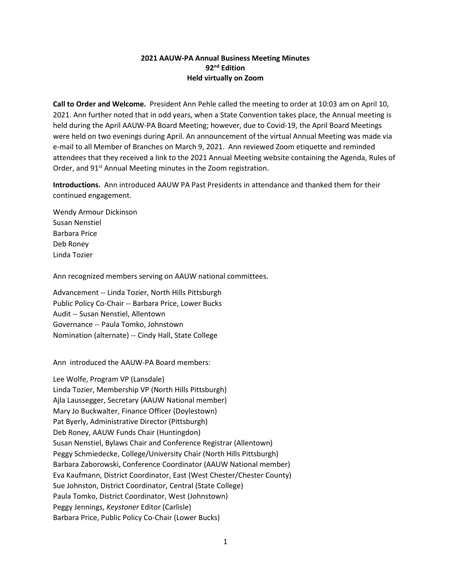## **2021 AAUW-PA Annual Business Meeting Minutes 92nd Edition Held virtually on Zoom**

**Call to Order and Welcome.** President Ann Pehle called the meeting to order at 10:03 am on April 10, 2021. Ann further noted that in odd years, when a State Convention takes place, the Annual meeting is held during the April AAUW-PA Board Meeting; however, due to Covid-19, the April Board Meetings were held on two evenings during April. An announcement of the virtual Annual Meeting was made via e-mail to all Member of Branches on March 9, 2021. Ann reviewed Zoom etiquette and reminded attendees that they received a link to the 2021 Annual Meeting website containing the Agenda, Rules of Order, and 91<sup>st</sup> Annual Meeting minutes in the Zoom registration.

**Introductions.** Ann introduced AAUW PA Past Presidents in attendance and thanked them for their continued engagement.

Wendy Armour Dickinson Susan Nenstiel Barbara Price Deb Roney Linda Tozier

Ann recognized members serving on AAUW national committees.

Advancement -- Linda Tozier, North Hills Pittsburgh Public Policy Co-Chair -- Barbara Price, Lower Bucks Audit -- Susan Nenstiel, Allentown Governance -- Paula Tomko, Johnstown Nomination (alternate) -- Cindy Hall, State College

Ann introduced the AAUW-PA Board members:

Lee Wolfe, Program VP (Lansdale) Linda Tozier, Membership VP (North Hills Pittsburgh) Ajla Laussegger, Secretary (AAUW National member) Mary Jo Buckwalter, Finance Officer (Doylestown) Pat Byerly, Administrative Director (Pittsburgh) Deb Roney, AAUW Funds Chair (Huntingdon) Susan Nenstiel, Bylaws Chair and Conference Registrar (Allentown) Peggy Schmiedecke, College/University Chair (North Hills Pittsburgh) Barbara Zaborowski, Conference Coordinator (AAUW National member) Eva Kaufmann, District Coordinator, East (West Chester/Chester County) Sue Johnston, District Coordinator, Central (State College) Paula Tomko, District Coordinator, West (Johnstown) Peggy Jennings, *Keystoner* Editor (Carlisle) Barbara Price, Public Policy Co-Chair (Lower Bucks)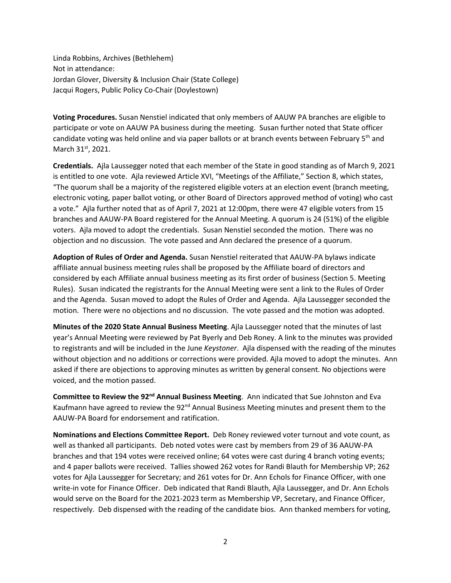Linda Robbins, Archives (Bethlehem) Not in attendance: Jordan Glover, Diversity & Inclusion Chair (State College) Jacqui Rogers, Public Policy Co-Chair (Doylestown)

**Voting Procedures.** Susan Nenstiel indicated that only members of AAUW PA branches are eligible to participate or vote on AAUW PA business during the meeting. Susan further noted that State officer candidate voting was held online and via paper ballots or at branch events between February  $5<sup>th</sup>$  and March 31st, 2021.

**Credentials.** Ajla Laussegger noted that each member of the State in good standing as of March 9, 2021 is entitled to one vote. Ajla reviewed Article XVI, "Meetings of the Affiliate," Section 8, which states, "The quorum shall be a majority of the registered eligible voters at an election event (branch meeting, electronic voting, paper ballot voting, or other Board of Directors approved method of voting) who cast a vote." Ajla further noted that as of April 7, 2021 at 12:00pm, there were 47 eligible voters from 15 branches and AAUW-PA Board registered for the Annual Meeting. A quorum is 24 (51%) of the eligible voters. Ajla moved to adopt the credentials. Susan Nenstiel seconded the motion. There was no objection and no discussion. The vote passed and Ann declared the presence of a quorum.

**Adoption of Rules of Order and Agenda.** Susan Nenstiel reiterated that AAUW-PA bylaws indicate affiliate annual business meeting rules shall be proposed by the Affiliate board of directors and considered by each Affiliate annual business meeting as its first order of business (Section 5. Meeting Rules). Susan indicated the registrants for the Annual Meeting were sent a link to the Rules of Order and the Agenda. Susan moved to adopt the Rules of Order and Agenda. Ajla Laussegger seconded the motion. There were no objections and no discussion. The vote passed and the motion was adopted.

**Minutes of the 2020 State Annual Business Meeting**. Ajla Laussegger noted that the minutes of last year's Annual Meeting were reviewed by Pat Byerly and Deb Roney. A link to the minutes was provided to registrants and will be included in the June *Keystoner*. Ajla dispensed with the reading of the minutes without objection and no additions or corrections were provided. Ajla moved to adopt the minutes. Ann asked if there are objections to approving minutes as written by general consent. No objections were voiced, and the motion passed.

**Committee to Review the 92nd Annual Business Meeting**. Ann indicated that Sue Johnston and Eva Kaufmann have agreed to review the  $92<sup>nd</sup>$  Annual Business Meeting minutes and present them to the AAUW-PA Board for endorsement and ratification.

**Nominations and Elections Committee Report.** Deb Roney reviewed voter turnout and vote count, as well as thanked all participants. Deb noted votes were cast by members from 29 of 36 AAUW-PA branches and that 194 votes were received online; 64 votes were cast during 4 branch voting events; and 4 paper ballots were received. Tallies showed 262 votes for Randi Blauth for Membership VP; 262 votes for Ajla Laussegger for Secretary; and 261 votes for Dr. Ann Echols for Finance Officer, with one write-in vote for Finance Officer. Deb indicated that Randi Blauth, Ajla Laussegger, and Dr. Ann Echols would serve on the Board for the 2021-2023 term as Membership VP, Secretary, and Finance Officer, respectively. Deb dispensed with the reading of the candidate bios. Ann thanked members for voting,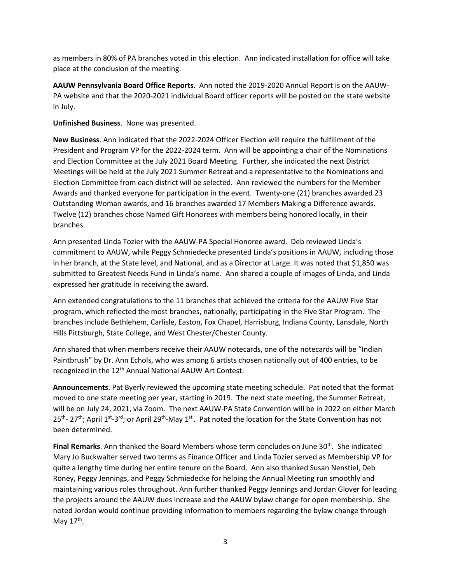as members in 80% of PA branches voted in this election. Ann indicated installation for office will take place at the conclusion of the meeting.

**AAUW Pennsylvania Board Office Reports**. Ann noted the 2019-2020 Annual Report is on the AAUW-PA website and that the 2020-2021 individual Board officer reports will be posted on the state website in July.

## **Unfinished Business**. None was presented.

**New Business**. Ann indicated that the 2022-2024 Officer Election will require the fulfillment of the President and Program VP for the 2022-2024 term. Ann will be appointing a chair of the Nominations and Election Committee at the July 2021 Board Meeting. Further, she indicated the next District Meetings will be held at the July 2021 Summer Retreat and a representative to the Nominations and Election Committee from each district will be selected. Ann reviewed the numbers for the Member Awards and thanked everyone for participation in the event. Twenty-one (21) branches awarded 23 Outstanding Woman awards, and 16 branches awarded 17 Members Making a Difference awards. Twelve (12) branches chose Named Gift Honorees with members being honored locally, in their branches.

Ann presented Linda Tozier with the AAUW-PA Special Honoree award. Deb reviewed Linda's commitment to AAUW, while Peggy Schmiedecke presented Linda's positions in AAUW, including those in her branch, at the State level, and National, and as a Director at Large. It was noted that \$1,850 was submitted to Greatest Needs Fund in Linda's name. Ann shared a couple of images of Linda, and Linda expressed her gratitude in receiving the award.

Ann extended congratulations to the 11 branches that achieved the criteria for the AAUW Five Star program, which reflected the most branches, nationally, participating in the Five Star Program. The branches include Bethlehem, Carlisle, Easton, Fox Chapel, Harrisburg, Indiana County, Lansdale, North Hills Pittsburgh, State College, and West Chester/Chester County.

Ann shared that when members receive their AAUW notecards, one of the notecards will be "Indian Paintbrush" by Dr. Ann Echols, who was among 6 artists chosen nationally out of 400 entries, to be recognized in the 12<sup>th</sup> Annual National AAUW Art Contest.

**Announcements**. Pat Byerly reviewed the upcoming state meeting schedule. Pat noted that the format moved to one state meeting per year, starting in 2019. The next state meeting, the Summer Retreat, will be on July 24, 2021, via Zoom. The next AAUW-PA State Convention will be in 2022 on either March  $25<sup>th</sup>$ - 27<sup>th</sup>; April 1<sup>st</sup>-3<sup>rd</sup>; or April 29<sup>th</sup>-May 1<sup>st</sup>. Pat noted the location for the State Convention has not been determined.

Final Remarks. Ann thanked the Board Members whose term concludes on June 30<sup>th</sup>. She indicated Mary Jo Buckwalter served two terms as Finance Officer and Linda Tozier served as Membership VP for quite a lengthy time during her entire tenure on the Board. Ann also thanked Susan Nenstiel, Deb Roney, Peggy Jennings, and Peggy Schmiedecke for helping the Annual Meeting run smoothly and maintaining various roles throughout. Ann further thanked Peggy Jennings and Jordan Glover for leading the projects around the AAUW dues increase and the AAUW bylaw change for open membership. She noted Jordan would continue providing information to members regarding the bylaw change through May  $17<sup>th</sup>$ .